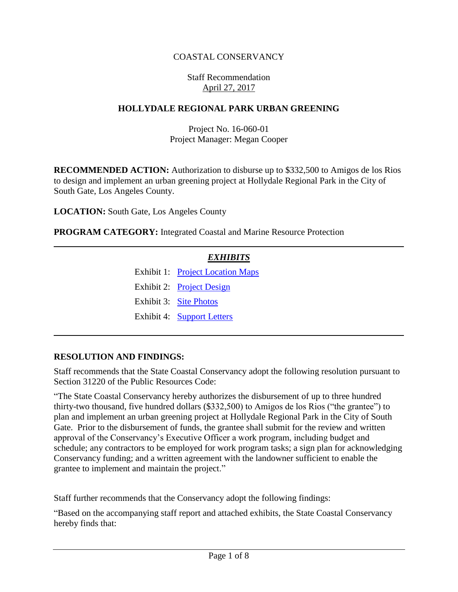## COASTAL CONSERVANCY

#### Staff Recommendation April 27, 2017

#### **HOLLYDALE REGIONAL PARK URBAN GREENING**

### Project No. 16-060-01 Project Manager: Megan Cooper

**RECOMMENDED ACTION:** Authorization to disburse up to \$332,500 to Amigos de los Rios to design and implement an urban greening project at Hollydale Regional Park in the City of South Gate, Los Angeles County.

**LOCATION:** South Gate, Los Angeles County

**PROGRAM CATEGORY:** Integrated Coastal and Marine Resource Protection

### *EXHIBITS*

Exhibit 1: [Project Location Maps](20170427Board14_Hollydale_Regional_Park_Ex1.pdf) Exhibit 2: [Project Design](20170427Board14_Hollydale_Regional_Park_Ex2.pdf) Exhibit 3: Site [Photos](20170427Board14_Hollydale_Regional_Park_Ex3.pdf)

Exhibit 4: [Support Letters](20170427Board14_Hollydale_Regional_Park_Ex4.pdf)

#### **RESOLUTION AND FINDINGS:**

Staff recommends that the State Coastal Conservancy adopt the following resolution pursuant to Section 31220 of the Public Resources Code:

"The State Coastal Conservancy hereby authorizes the disbursement of up to three hundred thirty-two thousand, five hundred dollars (\$332,500) to Amigos de los Rios ("the grantee") to plan and implement an urban greening project at Hollydale Regional Park in the City of South Gate. Prior to the disbursement of funds, the grantee shall submit for the review and written approval of the Conservancy's Executive Officer a work program, including budget and schedule; any contractors to be employed for work program tasks; a sign plan for acknowledging Conservancy funding; and a written agreement with the landowner sufficient to enable the grantee to implement and maintain the project."

Staff further recommends that the Conservancy adopt the following findings:

"Based on the accompanying staff report and attached exhibits, the State Coastal Conservancy hereby finds that: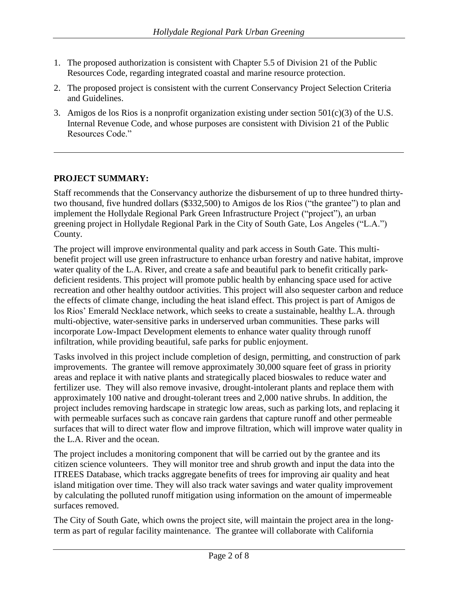- 1. The proposed authorization is consistent with Chapter 5.5 of Division 21 of the Public Resources Code, regarding integrated coastal and marine resource protection.
- 2. The proposed project is consistent with the current Conservancy Project Selection Criteria and Guidelines.
- 3. Amigos de los Rios is a nonprofit organization existing under section  $501(c)(3)$  of the U.S. Internal Revenue Code, and whose purposes are consistent with Division 21 of the Public Resources Code."

## **PROJECT SUMMARY:**

Staff recommends that the Conservancy authorize the disbursement of up to three hundred thirtytwo thousand, five hundred dollars (\$332,500) to Amigos de los Rios ("the grantee") to plan and implement the Hollydale Regional Park Green Infrastructure Project ("project"), an urban greening project in Hollydale Regional Park in the City of South Gate, Los Angeles ("L.A.") County.

The project will improve environmental quality and park access in South Gate. This multibenefit project will use green infrastructure to enhance urban forestry and native habitat, improve water quality of the L.A. River, and create a safe and beautiful park to benefit critically parkdeficient residents. This project will promote public health by enhancing space used for active recreation and other healthy outdoor activities. This project will also sequester carbon and reduce the effects of climate change, including the heat island effect. This project is part of Amigos de los Rios' Emerald Necklace network, which seeks to create a sustainable, healthy L.A. through multi-objective, water-sensitive parks in underserved urban communities. These parks will incorporate Low-Impact Development elements to enhance water quality through runoff infiltration, while providing beautiful, safe parks for public enjoyment.

Tasks involved in this project include completion of design, permitting, and construction of park improvements. The grantee will remove approximately 30,000 square feet of grass in priority areas and replace it with native plants and strategically placed bioswales to reduce water and fertilizer use. They will also remove invasive, drought-intolerant plants and replace them with approximately 100 native and drought-tolerant trees and 2,000 native shrubs. In addition, the project includes removing hardscape in strategic low areas, such as parking lots, and replacing it with permeable surfaces such as concave rain gardens that capture runoff and other permeable surfaces that will to direct water flow and improve filtration, which will improve water quality in the L.A. River and the ocean.

The project includes a monitoring component that will be carried out by the grantee and its citizen science volunteers. They will monitor tree and shrub growth and input the data into the ITREES Database, which tracks aggregate benefits of trees for improving air quality and heat island mitigation over time. They will also track water savings and water quality improvement by calculating the polluted runoff mitigation using information on the amount of impermeable surfaces removed.

The City of South Gate, which owns the project site, will maintain the project area in the longterm as part of regular facility maintenance. The grantee will collaborate with California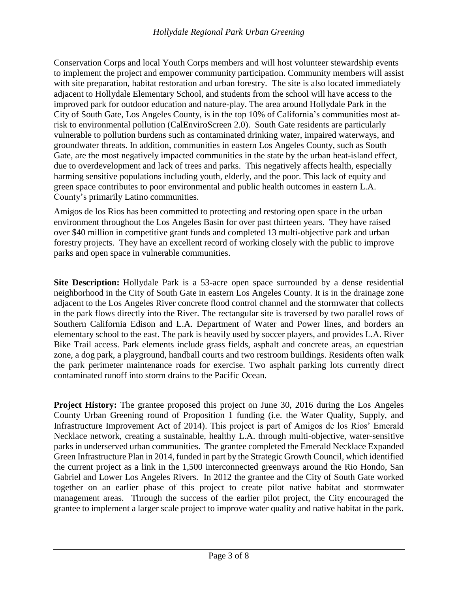Conservation Corps and local Youth Corps members and will host volunteer stewardship events to implement the project and empower community participation. Community members will assist with site preparation, habitat restoration and urban forestry. The site is also located immediately adjacent to Hollydale Elementary School, and students from the school will have access to the improved park for outdoor education and nature-play. The area around Hollydale Park in the City of South Gate, Los Angeles County, is in the top 10% of California's communities most atrisk to environmental pollution (CalEnviroScreen 2.0). South Gate residents are particularly vulnerable to pollution burdens such as contaminated drinking water, impaired waterways, and groundwater threats. In addition, communities in eastern Los Angeles County, such as South Gate, are the most negatively impacted communities in the state by the urban heat-island effect, due to overdevelopment and lack of trees and parks. This negatively affects health, especially harming sensitive populations including youth, elderly, and the poor. This lack of equity and green space contributes to poor environmental and public health outcomes in eastern L.A. County's primarily Latino communities.

Amigos de los Rios has been committed to protecting and restoring open space in the urban environment throughout the Los Angeles Basin for over past thirteen years. They have raised over \$40 million in competitive grant funds and completed 13 multi-objective park and urban forestry projects. They have an excellent record of working closely with the public to improve parks and open space in vulnerable communities.

**Site Description:** Hollydale Park is a 53-acre open space surrounded by a dense residential neighborhood in the City of South Gate in eastern Los Angeles County. It is in the drainage zone adjacent to the Los Angeles River concrete flood control channel and the stormwater that collects in the park flows directly into the River. The rectangular site is traversed by two parallel rows of Southern California Edison and L.A. Department of Water and Power lines, and borders an elementary school to the east. The park is heavily used by soccer players, and provides L.A. River Bike Trail access. Park elements include grass fields, asphalt and concrete areas, an equestrian zone, a dog park, a playground, handball courts and two restroom buildings. Residents often walk the park perimeter maintenance roads for exercise. Two asphalt parking lots currently direct contaminated runoff into storm drains to the Pacific Ocean.

**Project History:** The grantee proposed this project on June 30, 2016 during the Los Angeles County Urban Greening round of Proposition 1 funding (i.e. the Water Quality, Supply, and Infrastructure Improvement Act of 2014). This project is part of Amigos de los Rios' Emerald Necklace network, creating a sustainable, healthy L.A. through multi-objective, water-sensitive parks in underserved urban communities. The grantee completed the Emerald Necklace Expanded Green Infrastructure Plan in 2014, funded in part by the Strategic Growth Council, which identified the current project as a link in the 1,500 interconnected greenways around the Rio Hondo, San Gabriel and Lower Los Angeles Rivers. In 2012 the grantee and the City of South Gate worked together on an earlier phase of this project to create pilot native habitat and stormwater management areas. Through the success of the earlier pilot project, the City encouraged the grantee to implement a larger scale project to improve water quality and native habitat in the park.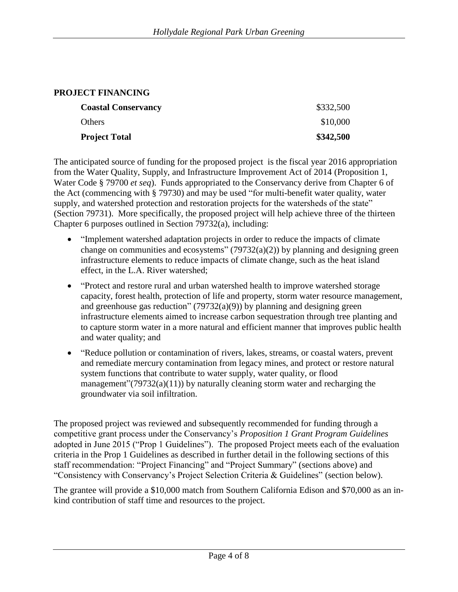### **PROJECT FINANCING**

| <b>Coastal Conservancy</b><br><b>Others</b> | \$332,500 |
|---------------------------------------------|-----------|
|                                             | \$10,000  |
| <b>Project Total</b>                        | \$342,500 |

The anticipated source of funding for the proposed project is the fiscal year 2016 appropriation from the Water Quality, Supply, and Infrastructure Improvement Act of 2014 (Proposition 1, Water Code § 79700 *et seq*). Funds appropriated to the Conservancy derive from Chapter 6 of the Act (commencing with § 79730) and may be used "for multi-benefit water quality, water supply, and watershed protection and restoration projects for the watersheds of the state" (Section 79731). More specifically, the proposed project will help achieve three of the thirteen Chapter 6 purposes outlined in Section 79732(a), including:

- "Implement watershed adaptation projects in order to reduce the impacts of climate change on communities and ecosystems"  $(79732(a)(2))$  by planning and designing green infrastructure elements to reduce impacts of climate change, such as the heat island effect, in the L.A. River watershed;
- "Protect and restore rural and urban watershed health to improve watershed storage capacity, forest health, protection of life and property, storm water resource management, and greenhouse gas reduction"  $(79732(a)(9))$  by planning and designing green infrastructure elements aimed to increase carbon sequestration through tree planting and to capture storm water in a more natural and efficient manner that improves public health and water quality; and
- "Reduce pollution or contamination of rivers, lakes, streams, or coastal waters, prevent and remediate mercury contamination from legacy mines, and protect or restore natural system functions that contribute to water supply, water quality, or flood management" $(79732(a)(11))$  by naturally cleaning storm water and recharging the groundwater via soil infiltration.

The proposed project was reviewed and subsequently recommended for funding through a competitive grant process under the Conservancy's *Proposition 1 Grant Program Guidelines* adopted in June 2015 ("Prop 1 Guidelines"). The proposed Project meets each of the evaluation criteria in the Prop 1 Guidelines as described in further detail in the following sections of this staff recommendation: "Project Financing" and "Project Summary" (sections above) and "Consistency with Conservancy's Project Selection Criteria & Guidelines" (section below).

The grantee will provide a \$10,000 match from Southern California Edison and \$70,000 as an inkind contribution of staff time and resources to the project.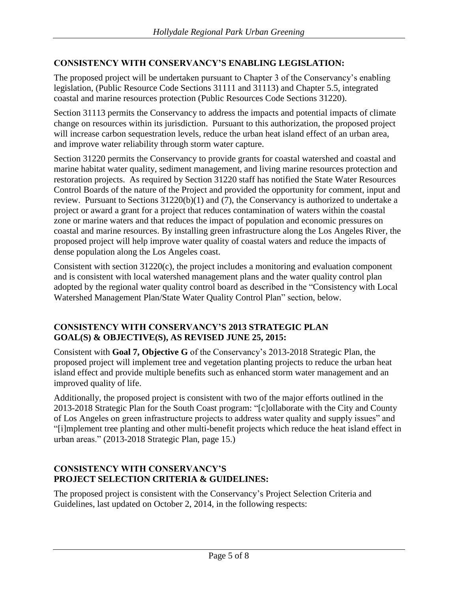## **CONSISTENCY WITH CONSERVANCY'S ENABLING LEGISLATION:**

The proposed project will be undertaken pursuant to Chapter 3 of the Conservancy's enabling legislation, (Public Resource Code Sections 31111 and 31113) and Chapter 5.5, integrated coastal and marine resources protection (Public Resources Code Sections 31220).

Section 31113 permits the Conservancy to address the impacts and potential impacts of climate change on resources within its jurisdiction. Pursuant to this authorization, the proposed project will increase carbon sequestration levels, reduce the urban heat island effect of an urban area, and improve water reliability through storm water capture.

Section 31220 permits the Conservancy to provide grants for coastal watershed and coastal and marine habitat water quality, sediment management, and living marine resources protection and restoration projects. As required by Section 31220 staff has notified the State Water Resources Control Boards of the nature of the Project and provided the opportunity for comment, input and review. Pursuant to Sections 31220(b)(1) and (7), the Conservancy is authorized to undertake a project or award a grant for a project that reduces contamination of waters within the coastal zone or marine waters and that reduces the impact of population and economic pressures on coastal and marine resources. By installing green infrastructure along the Los Angeles River, the proposed project will help improve water quality of coastal waters and reduce the impacts of dense population along the Los Angeles coast.

Consistent with section 31220(c), the project includes a monitoring and evaluation component and is consistent with local watershed management plans and the water quality control plan adopted by the regional water quality control board as described in the "Consistency with Local Watershed Management Plan/State Water Quality Control Plan" section, below.

### **CONSISTENCY WITH CONSERVANCY'S 2013 STRATEGIC PLAN GOAL(S) & OBJECTIVE(S), AS REVISED JUNE 25, 2015:**

Consistent with **Goal 7, Objective G** of the Conservancy's 2013-2018 Strategic Plan, the proposed project will implement tree and vegetation planting projects to reduce the urban heat island effect and provide multiple benefits such as enhanced storm water management and an improved quality of life.

Additionally, the proposed project is consistent with two of the major efforts outlined in the 2013-2018 Strategic Plan for the South Coast program: "[c]ollaborate with the City and County of Los Angeles on green infrastructure projects to address water quality and supply issues" and "[i]mplement tree planting and other multi-benefit projects which reduce the heat island effect in urban areas." (2013-2018 Strategic Plan, page 15.)

#### **CONSISTENCY WITH CONSERVANCY'S PROJECT SELECTION CRITERIA & GUIDELINES:**

The proposed project is consistent with the Conservancy's Project Selection Criteria and Guidelines, last updated on October 2, 2014, in the following respects: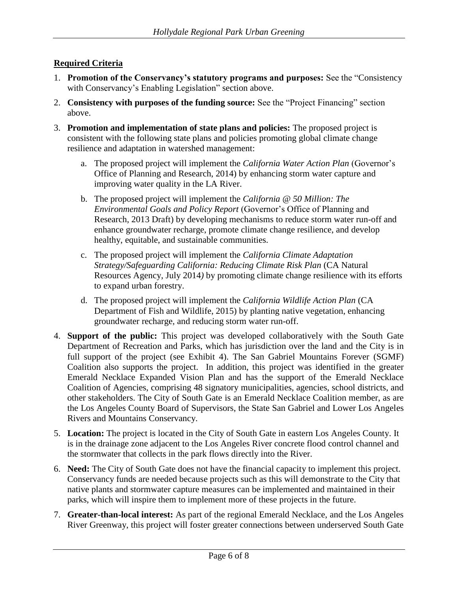## **Required Criteria**

- 1. **Promotion of the Conservancy's statutory programs and purposes:** See the "Consistency with Conservancy's Enabling Legislation" section above.
- 2. **Consistency with purposes of the funding source:** See the "Project Financing" section above.
- 3. **Promotion and implementation of state plans and policies:** The proposed project is consistent with the following state plans and policies promoting global climate change resilience and adaptation in watershed management:
	- a. The proposed project will implement the *California Water Action Plan* (Governor's Office of Planning and Research, 2014) by enhancing storm water capture and improving water quality in the LA River.
	- b. The proposed project will implement the *California @ 50 Million: The Environmental Goals and Policy Report* (Governor's Office of Planning and Research, 2013 Draft) by developing mechanisms to reduce storm water run-off and enhance groundwater recharge, promote climate change resilience, and develop healthy, equitable, and sustainable communities.
	- c. The proposed project will implement the *California Climate Adaptation Strategy/Safeguarding California: Reducing Climate Risk Plan* (CA Natural Resources Agency, July 2014*)* by promoting climate change resilience with its efforts to expand urban forestry.
	- d. The proposed project will implement the *California Wildlife Action Plan* (CA Department of Fish and Wildlife, 2015) by planting native vegetation, enhancing groundwater recharge, and reducing storm water run-off.
- 4. **Support of the public:** This project was developed collaboratively with the South Gate Department of Recreation and Parks, which has jurisdiction over the land and the City is in full support of the project (see Exhibit 4). The San Gabriel Mountains Forever (SGMF) Coalition also supports the project. In addition, this project was identified in the greater Emerald Necklace Expanded Vision Plan and has the support of the Emerald Necklace Coalition of Agencies, comprising 48 signatory municipalities, agencies, school districts, and other stakeholders. The City of South Gate is an Emerald Necklace Coalition member, as are the Los Angeles County Board of Supervisors, the State San Gabriel and Lower Los Angeles Rivers and Mountains Conservancy.
- 5. **Location:** The project is located in the City of South Gate in eastern Los Angeles County. It is in the drainage zone adjacent to the Los Angeles River concrete flood control channel and the stormwater that collects in the park flows directly into the River.
- 6. **Need:** The City of South Gate does not have the financial capacity to implement this project. Conservancy funds are needed because projects such as this will demonstrate to the City that native plants and stormwater capture measures can be implemented and maintained in their parks, which will inspire them to implement more of these projects in the future.
- 7. **Greater-than-local interest:** As part of the regional Emerald Necklace, and the Los Angeles River Greenway, this project will foster greater connections between underserved South Gate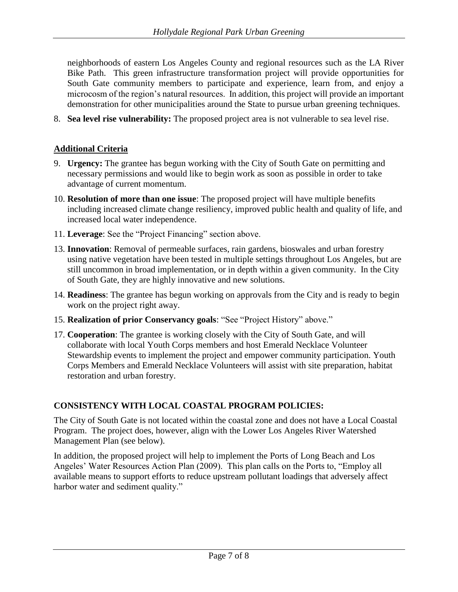neighborhoods of eastern Los Angeles County and regional resources such as the LA River Bike Path. This green infrastructure transformation project will provide opportunities for South Gate community members to participate and experience, learn from, and enjoy a microcosm of the region's natural resources. In addition, this project will provide an important demonstration for other municipalities around the State to pursue urban greening techniques.

8. **Sea level rise vulnerability:** The proposed project area is not vulnerable to sea level rise.

### **Additional Criteria**

- 9. **Urgency:** The grantee has begun working with the City of South Gate on permitting and necessary permissions and would like to begin work as soon as possible in order to take advantage of current momentum.
- 10. **Resolution of more than one issue**: The proposed project will have multiple benefits including increased climate change resiliency, improved public health and quality of life, and increased local water independence.
- 11. **Leverage**: See the "Project Financing" section above.
- 13. **Innovation**: Removal of permeable surfaces, rain gardens, bioswales and urban forestry using native vegetation have been tested in multiple settings throughout Los Angeles, but are still uncommon in broad implementation, or in depth within a given community. In the City of South Gate, they are highly innovative and new solutions.
- 14. **Readiness**: The grantee has begun working on approvals from the City and is ready to begin work on the project right away.
- 15. **Realization of prior Conservancy goals**: "See "Project History" above."
- 17. **Cooperation**: The grantee is working closely with the City of South Gate, and will collaborate with local Youth Corps members and host Emerald Necklace Volunteer Stewardship events to implement the project and empower community participation. Youth Corps Members and Emerald Necklace Volunteers will assist with site preparation, habitat restoration and urban forestry.

## **CONSISTENCY WITH LOCAL COASTAL PROGRAM POLICIES:**

The City of South Gate is not located within the coastal zone and does not have a Local Coastal Program. The project does, however, align with the Lower Los Angeles River Watershed Management Plan (see below).

In addition, the proposed project will help to implement the Ports of Long Beach and Los Angeles' Water Resources Action Plan (2009). This plan calls on the Ports to, "Employ all available means to support efforts to reduce upstream pollutant loadings that adversely affect harbor water and sediment quality."